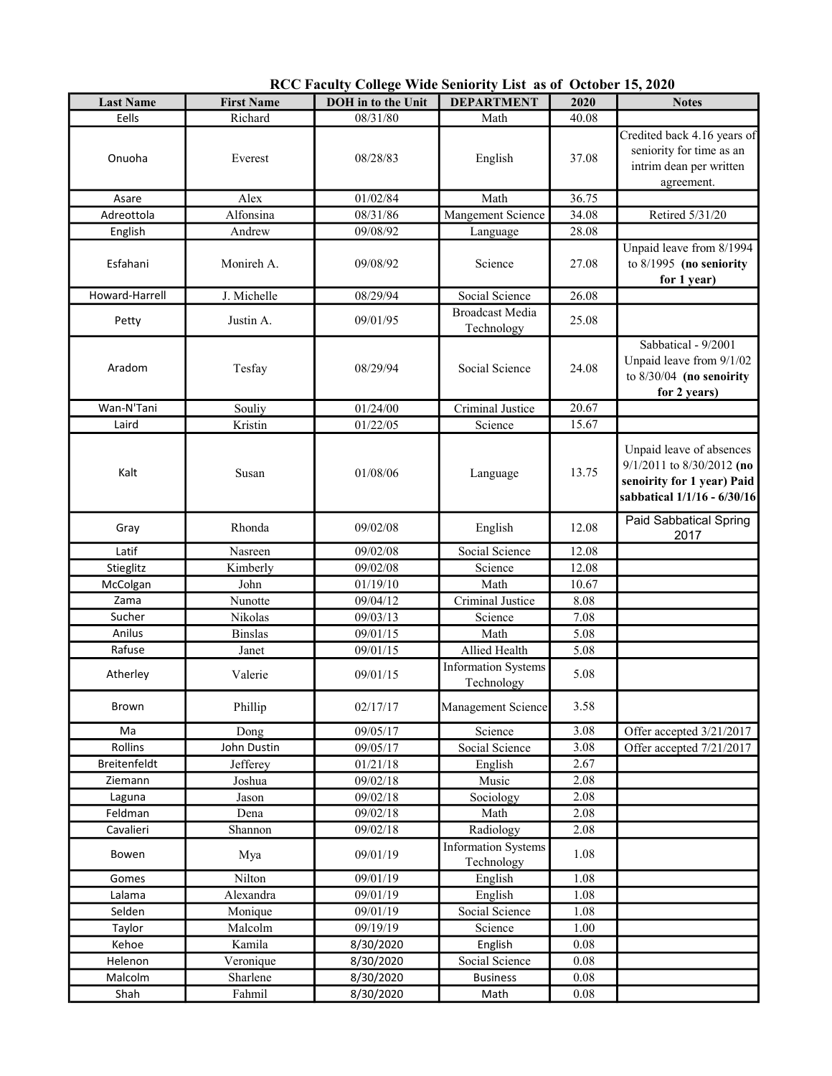| <b>Last Name</b> | <b>First Name</b> | <b>DOH</b> in to the Unit | <b>DEPARTMENT</b>                        | 2020     | <b>Notes</b>                                                                                                       |
|------------------|-------------------|---------------------------|------------------------------------------|----------|--------------------------------------------------------------------------------------------------------------------|
| Eells            | Richard           | 08/31/80                  | Math                                     | 40.08    |                                                                                                                    |
| Onuoha           | Everest           | 08/28/83                  | English                                  | 37.08    | Credited back 4.16 years of<br>seniority for time as an<br>intrim dean per written<br>agreement.                   |
| Asare            | Alex              | 01/02/84                  | Math                                     | 36.75    |                                                                                                                    |
| Adreottola       | Alfonsina         | 08/31/86                  | Mangement Science                        | 34.08    | Retired 5/31/20                                                                                                    |
| English          | Andrew            | 09/08/92                  | Language                                 | 28.08    |                                                                                                                    |
| Esfahani         | Monireh A.        | 09/08/92                  | Science                                  | 27.08    | Unpaid leave from 8/1994<br>to 8/1995 (no seniority<br>for 1 year)                                                 |
| Howard-Harrell   | J. Michelle       | 08/29/94                  | Social Science                           | 26.08    |                                                                                                                    |
| Petty            | Justin A.         | 09/01/95                  | <b>Broadcast Media</b><br>Technology     | 25.08    |                                                                                                                    |
| Aradom           | Tesfay            | 08/29/94                  | Social Science                           | 24.08    | Sabbatical - 9/2001<br>Unpaid leave from 9/1/02<br>to $8/30/04$ (no senoirity<br>for 2 years)                      |
| Wan-N'Tani       | Souliy            | 01/24/00                  | Criminal Justice                         | 20.67    |                                                                                                                    |
| Laird            | Kristin           | 01/22/05                  | Science                                  | 15.67    |                                                                                                                    |
| Kalt             | Susan             | 01/08/06                  | Language                                 | 13.75    | Unpaid leave of absences<br>9/1/2011 to 8/30/2012 (no<br>senoirity for 1 year) Paid<br>sabbatical 1/1/16 - 6/30/16 |
| Gray             | Rhonda            | 09/02/08                  | English                                  | 12.08    | <b>Paid Sabbatical Spring</b><br>2017                                                                              |
| Latif            | Nasreen           | 09/02/08                  | Social Science                           | 12.08    |                                                                                                                    |
| Stieglitz        | Kimberly          | 09/02/08                  | Science                                  | 12.08    |                                                                                                                    |
| McColgan         | John              | 01/19/10                  | Math                                     | 10.67    |                                                                                                                    |
| Zama             | Nunotte           | 09/04/12                  | Criminal Justice                         | 8.08     |                                                                                                                    |
| Sucher           | Nikolas           | 09/03/13                  | Science                                  | 7.08     |                                                                                                                    |
| Anilus           | <b>Binslas</b>    | 09/01/15                  | Math                                     | 5.08     |                                                                                                                    |
| Rafuse           | Janet             | 09/01/15                  | Allied Health                            | 5.08     |                                                                                                                    |
| Atherley         | Valerie           | 09/01/15                  | <b>Information Systems</b><br>Technology | 5.08     |                                                                                                                    |
| Brown            | Phillip           | 02/17/17                  | Management Science                       | 3.58     |                                                                                                                    |
| Ma               | Dong              | 09/05/17                  | Science                                  | 3.08     | Offer accepted 3/21/2017                                                                                           |
| Rollins          | John Dustin       | 09/05/17                  | Social Science                           | 3.08     | Offer accepted 7/21/2017                                                                                           |
| Breitenfeldt     | Jefferey          | 01/21/18                  | English                                  | 2.67     |                                                                                                                    |
| Ziemann          | Joshua            | 09/02/18                  | Music                                    | 2.08     |                                                                                                                    |
| Laguna           | Jason             | 09/02/18                  | Sociology                                | 2.08     |                                                                                                                    |
| Feldman          | Dena              | 09/02/18                  | Math                                     | 2.08     |                                                                                                                    |
| Cavalieri        | Shannon           | 09/02/18                  | Radiology                                | 2.08     |                                                                                                                    |
| Bowen            | Mya               | 09/01/19                  | <b>Information Systems</b><br>Technology | 1.08     |                                                                                                                    |
| Gomes            | Nilton            | 09/01/19                  | English                                  | 1.08     |                                                                                                                    |
| Lalama           | Alexandra         | 09/01/19                  | English                                  | 1.08     |                                                                                                                    |
| Selden           | Monique           | 09/01/19                  | Social Science                           | 1.08     |                                                                                                                    |
| Taylor           | Malcolm           | 09/19/19                  | Science                                  | 1.00     |                                                                                                                    |
| Kehoe            | Kamila            | 8/30/2020                 | English                                  | 0.08     |                                                                                                                    |
| Helenon          | Veronique         | 8/30/2020                 | Social Science                           | 0.08     |                                                                                                                    |
| Malcolm          | Sharlene          | 8/30/2020                 | <b>Business</b>                          | $0.08\,$ |                                                                                                                    |
| Shah             | Fahmil            | 8/30/2020                 | Math                                     | $0.08\,$ |                                                                                                                    |

| RCC Faculty College Wide Seniority List as of October 15, 2020 |  |  |  |  |  |  |
|----------------------------------------------------------------|--|--|--|--|--|--|
|----------------------------------------------------------------|--|--|--|--|--|--|